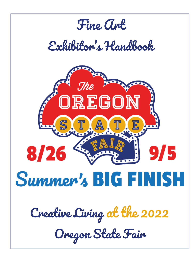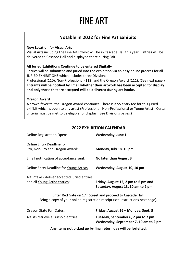# FINE ART

# **Notable in 2022 for Fine Art Exhibits**

### **New Location for Visual Arts**

Visual Arts including the Fine Art Exhibit will be in Cascade Hall this year. Entries will be delivered to Cascade Hall and displayed there during Fair.

### **All Juried Exhibitions Continue to be entered Digitally**

Entries will be submitted and juried into the exhibition via an easy online process for all JURIED EXHIBITIONS which includes three Divisions:

Professional (110), Non-Professional (112) and the Oregon Award (111). (See next page.) **Entrants will be notified by Email whether their artwork has been accepted for display and only those that are accepted will be delivered during art intake.**

### **Oregon Award**

A crowd favorite, the Oregon Award continues. There is a \$5 entry fee for this juried exhibit which is open to any artist (Professional, Non-Professional or Young Artist). Certain criteria must be met to be eligible for display. (See Divisions pages.)

| <b>2022 EXHIBITION CALENDAR</b>                                                                                                                          |                                                                             |
|----------------------------------------------------------------------------------------------------------------------------------------------------------|-----------------------------------------------------------------------------|
| <b>Online Registration Opens:</b>                                                                                                                        | Wednesday, June 1                                                           |
| Online Entry Deadline for<br>Pro, Non-Pro and Oregon Award:                                                                                              | Monday, July 18, 10 pm                                                      |
| Email notification of acceptance sent:                                                                                                                   | No later than August 3                                                      |
| Online Entry Deadline for Young Artists:                                                                                                                 | Wednesday, August 10, 10 pm                                                 |
| Art Intake - deliver accepted juried entries<br>and all Young Artist entries:                                                                            | Friday, August 12, 2 pm to 6 pm and<br>Saturday, August 13, 10 am to 2 pm   |
| Enter Red Gate on 17 <sup>th</sup> Street and proceed to Cascade Hall.<br>Bring a copy of your online registration receipt (see instructions next page). |                                                                             |
| Oregon State Fair Dates:                                                                                                                                 | Friday, August 26 - Monday, Sept. 5                                         |
| Artists retrieve all unsold entries:                                                                                                                     | Tuesday, September 6, 2 pm to 7 pm<br>Wednesday, September 7, 10 am to 2 pm |
| Any items not picked up by final return day will be forfeited.                                                                                           |                                                                             |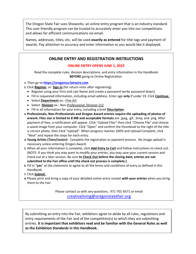The Oregon State Fair uses Showorks, an online entry program that is an industry standard. This user-friendly program can be trusted to accurately enter you into our competitions and allows for efficient communications via email.

Names, addresses, titles, etc. will be used **exactly as entered** for title tags and payment of awards. Pay attention to accuracy and enter information as you would like it displayed.

# **ONLINE ENTRY AND REGISTRATION INSTRUCTIONS**

### **ONLINE ENTRY OPENS JUNE 1, 2022**

Read the complete rules, division descriptions, and entry information in the Handbook **BEFORE** going to Online Registration.

- **1.** Then go to **[https://oregonva.fairwire.com](https://oregonva.fairwire.com/)**
- **2.** Click **Register**, or **Sign In** (for return visits after registering).
	- Register using your First and Last Name and create a password (write password down).
	- Fill in requested information, including email address. Enter age **only** if under 19. Click **Continue**.
	- Select **Department** ex.: Fine Art
	- Select **Division** ex.: Non-Professional, Division 112
	- Fill in all information for your entry, including a brief **Description**.
- **3. Professionals, Non-Professionals and Oregon Award entries require the uploading of photos of arwork. Files size is limited to 8 MB and acceptable formats** are .jpeg, .gif, .bmp, and .png. After payment of fees, a notification will appear. Click "Upload Files" then click "Choose File" and choose a saved image from your computer. Click "Open" and confirm the thumbnail to the right of the title is correct photo, then Click "Upload". When progress reaches 100% and Upload Complete, click "Next" and repeat the steps for each entry.
- **4. Young Artists (Teen/Junior):** Complete the registration or payment process. No image upload is necessary unless entering Oregon Award.
- **5.** When all your information is complete, click **Add Entry to Cart** and follow instructions to check out. (NOTE: If you think you may want to modify your entries, you may save your current session and check out at a later session. Be sure **to Check Out before the closing date; entries are not submitted to the Fair office until the check out process is complete.)**
- **6.** Fill in "**yes**" at the statement to agree to all the terms and conditions of entry as defined in this Handbook.
- **7.** Click **Submit**.
- **8.** Please print and bring a copy of your detailed online entry receipt **with your entries** when you bring them to the Fair.

Please contact us with any questions. 971-701-6571 or email [creativeliving@oregonstatefair.org](mailto:creativeliving@oregonstatefair.org)

By submitting an entry into the Fair, exhibitors agree to abide by all rules, regulations and entry requirements of the Fair and of the competition(s) to which they are submitting entries. **It is important that exhibitors read and be familiar with the General Rules as well as the Exhibition Standards in this Handbook.**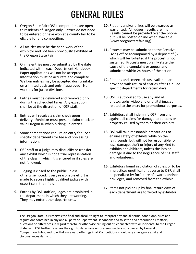# GENERAL RULES

- **1.** Oregon State Fair (OSF) competitions are open to residents of Oregon only. Entries do not need to be entered or have won at a county fair to be eligible for any competition.
- **2.** All articles must be the handiwork of the exhibitor and not been previously exhibited at the Oregon State Fair.
- **3.** Online entries must be submitted by the date indicated within each Department Handbook. Paper applications will not be accepted. Information must be accurate and complete. Walk-in entries may be accepted during intake on a limited basis and only if approved. No walk-ins for juried divisions.
- **4.** Entries must be delivered and removed only during the scheduled times. Any exception shall be at the discretion of OSF staff.
- **5.** Entries will receive a claim check upon delivery. Exhibitor must present claim check or valid Oregon ID when picking up entries.
- **6.** Some competitions require an entry fee. See specific departments for fee and processing information.
- **7.** OSF staff or a judge may disqualify or transfer any exhibit which is not a true representation of the class in which it is entered or if rules are not followed.
- **8.** Judging is closed to the public unless otherwise noted. Every reasonable effort is made to secure highly qualified judges with expertise in their field.
- **9.** Entries by OSF staff or judges are prohibited in the department in which they are working. They may enter other departments.
- **10.** Ribbons and/or prizes will be awarded as warranted. All judges' results are final. Results cannot be provided over the phone but will be posted online when available. (www.oregonstatefair.org)
- **11.** Protests may be submitted to the Creative Living office accompanied by a deposit of \$25 which will be forfeited if the protest is not sustained. Protests must plainly state the cause of the complaint or appeal and submitted within 24 hours of the action.
- **12.** Ribbons and scorecards (as available) are provided with return of entries after Fair. See specific departments for return days.
- **13.** OSF is authorized to use any and all photographs, video and or digital images related to the entry for promotional purposes.
- **14.** Exhibitors shall indemnify OSF from and against all claims for damage to persons or property caused by them or their exhibits.
- **15.** OSF will take reasonable precautions to ensure safety of exhibits while on the fairgrounds, but will not be responsible for loss, damage, theft or injury of any kind to exhibits or exhibitors, unless the loss or damage is due to the negligence of OSF staff and volunteers.
- **16.** Exhibitors found in violation of rules, or to be in practices unethical or adverse to OSF, shall be penalized by forfeiture of awards and/or privileges, and removed from the exhibit.
- **17.** Items not picked up by final return days of each department are forfeited by exhibitor.

questions or differences in regard thereto, or otherwise arising out of, connected with or incidental to<br>State Fair. OSF further reserves the right to determine unforeseen matters not covered by General or<br>Compatition Bule The Oregon State Fair reserves the final and absolute right to interpret any and all terms, conditions, rules and regulations contained in any and all parts of Department Handbooks and to settle and determine all matters, questions or differences in regard thereto, or otherwise arising out of, connected with or incidental to the Oregon Competition Rules, and to withdraw award offerings in all Competitions should any emergency exist and circumstances demand.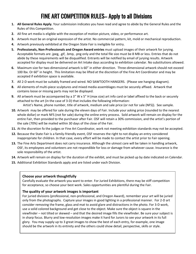# FINE ART COMPETITION RULES– Apply to all Divisions

- **1. All General Rules Apply.** Your submission indicates you have read and agree to abide by the General Rules and the Rules of this Competition.
- **2.** All fine art media is eligible with the exception of motion picture, video, or performance art.
- **3.** Artwork must be an original expression of the artist. No commercial pattern, kit, mold or mechanical reproduction.
- **4.** Artwork previously exhibited at the Oregon State Fair is ineligible for entry.
- **5. Professionals, Non-Professionals and Oregon Award entries** must upload images of their artwork for jurying. Acceptable formats are .jpeg, .gif, .bmp, .png only and the total file size must be 8 MB or less. Entries that do not abide by these requirements will be disqualified. Entrants will be notified by email of jurying results. Artwork accepted for display must be delivered on Art Intake days according to exhibition calendar. No substitutions allowed.
- **6.** Maximum size for two-dimensional artwork is 60" in either direction. Three-dimensional artwork should not exceed 100 lbx. Or 60" in height. This limitation may be lifted at the discretion of the Fine Art Coordinator and may be accepted if exhibition space is available.
- **7.** All 2-D work must be suitably framed and wired. NO SAWTOOTH HANGERS. (Please see hanging diagram).
- **8.** All elements of multi-piece sculptures and mixed media assemblages must be securely affixed. Artwork that contains loose or missing parts may not be displayed.
- **9.** All artwork must be accompanied by a 3" W x 5" H (max size) art info card or label affixed to the back or securely attached to the art (in the case of 3-D) that includes the following information: Artist's Name, phone number, title of artwork, medium and sale price (or not for sale (NFS)). See sample.
- **10.** Artwork may be offered for sale during the eleven days of Fair. Include your asking price (rounded to the nearest whole dollar) or mark NFS (not for sale) during the online entry process. Sold artwork will remain on display for the entire Fair, then provided to the purchaser after Fair. OSF will retain a 30% commission, and the artist's portion of the sale (70%) will be mailed within 30 days of the close of the Fair.
- **11.** At the discretion fo the judges or Fine Art Coordinator, work not meeting exhibition standards may not be accepted.
- **12.** Because the State Fair is a family-friendly event, OSF reserves the right to not display an entry considered inappropriate for children. In that case, every effort will be made to contact the artist prior to Fair opening.
- **13.** The Fine Arts Department does not carry insurance. Although the utmost care will be taken in handling artwork, OSF, its employees and volunteers are not respondible for loss or damage from whatever cause. Insurance is the sole responsibility of the artist.
- **14.** Artwork will remain on display for the duration of the exhibit, and must be picked up by date indicated on Calendar.
- **15.** Additional Exhibition Standards apply and are listed under each Division.

### **Choose your artwork thoughtfully**

Carefully evaluate the artwork you want to enter. For Juried Exhibitions, there may be stiff competition for acceptance, so choose your best work. Sales opportunities are plentiful during the Fair.

### **The quality of your artwork images is important**

For juried divisions (professional, non-professional, and Oregon Award), remember your art will be juried only from the photographs. Capture your images in good lighting in a professional manner. For 2-D art consider removing the frame, glass and mat to avoid glare and distractions in the photo. For 3-D work, use a solid colored background and get close to the object. Make sure the object is square in the viewfinder – not tilted or skewed – and that the desired image fills the viewfinder. Be sure your subject is in sharp focus. Blurry and low-resolution images make it hard for Jurors to see your artwork in its full glory. You may supply up to 3 great images to show the best of each entry, for example, one image should be the artwork in its entirety and the others could show detail, perspective, skills or style.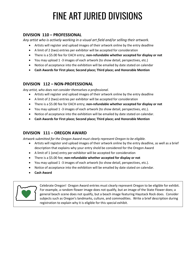# FINE ART JURIED DIVISIONS

## **DIVISION 110 – PROFESSIONAL**

*Any artist who is actively working in a visual art field and/or selling their artwork.*

- Artists will register and upload images of their artwork online by the entry deadline
- A limit of 2 (two) entries per exhibitor will be accepted for consideration
- There is a \$5.00 fee for EACH entry; **non-refundable whether accepted for display or not**
- You may upload 1 -3 images of each artwork (to show detail, perspectives, etc.)
- Notice of acceptance into the exhibition will be emailed by date stated on calendar
- **Cash Awards for First place; Second place; Third place; and Honorable Mention**

### **DIVISION 112 – NON-PROFESSIONAL**

*Any artist, who does not consider themselves a professional.*

- Artists will register and upload images of their artwork online by the entry deadline
- A limit of 2 (two) entries per exhibitor will be accepted for consideration
- There is a \$5.00 fee for EACH entry; **non-refundable whether accepted for display or not**
- You may upload 1 -3 images of each artwork (to show detail, perspectives, etc.).
- Notice of acceptance into the exhibition will be emailed by date stated on calendar.
- **Cash Awards for First place; Second place; Third place; and Honorable Mention**

# **DIVISION 111 – OREGON AWARD**

*Artwork submitted for the Oregon Award must clearly represent Oregon to be eligible.*

- Artists will register and upload images of their artwork online by the entry deadline, as well as a brief description that explains why your entry shold be considered for the Oregon Award
- A limit of 1 (one) entry per exhibitor will be accepted for consideration
- There is a \$5.00 fee; **non-refundable whether accepted for display or not**
- You may upload 1 -3 images of each artwork (to show detail, perspectives, etc.).
- Notice of acceptance into the exhibition will be emailed by date stated on calendar.
- **Cash Award**



Celebrate Oregon! Oregon Award entries must clearly represent Oregon to be eligible for exhibit. For example, a random flower image does not qualify, but an image of the State Flower does; a general beach scene does not qualify, but a beach image featuring Haystack Rock does. Consider subjects such as Oregon's landmarks, culture, and commodities. Write a brief description during registration to explain why it is eligible for this special exhibit.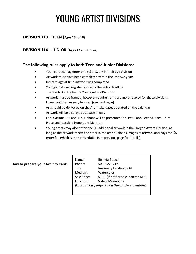# YOUNG ARTIST DIVISIONS

## **DIVISION 113 – TEEN (Ages 13 to 18)**

### **DIVISION 114 – JUNIOR (Ages 12 and Under)**

### **The following rules apply to both Teen and Junior Divisions:**

- Young artists may enter one (1) artwork in their age division
- Artwork must have been completed within the last two years
- Indicate age at time artwork was completed
- Young artists will register online by the entry deadline
- There is NO entry fee for Young Artists Divisions
- Artwork must be framed, however requirements are more relaxed for these divisions. Lower cost frames may be used (see next page)
- Art should be delivered on the Art Intake dates as stated on the calendar
- Artwork will be displayed as space allows
- For Divisions 113 and 114, ribbons will be presented for First Place, Second Place, Third Place, and possible Honorable Mention
- Young artists may also enter one (1) additional artwork in the Oregon Award Division, as long as the artwork meets the criteria, the artist uploads images of artwork and pays the **\$5 entry fee which is non-refundable** (see previous page for details)

#### **How to prepare your Art Info Card:**

| Name:                                            | Belinda Bobcat                       |
|--------------------------------------------------|--------------------------------------|
| Phone:                                           | 503-555-1212                         |
| Title:                                           | Imaginary Landscape #1               |
| Medium:                                          | Watercolor                           |
| Sale Price:                                      | \$100 (If not for sale indicate NFS) |
| Location:                                        | <b>Sisters Mountains</b>             |
| (Location only required on Oregon Award entries) |                                      |
|                                                  |                                      |